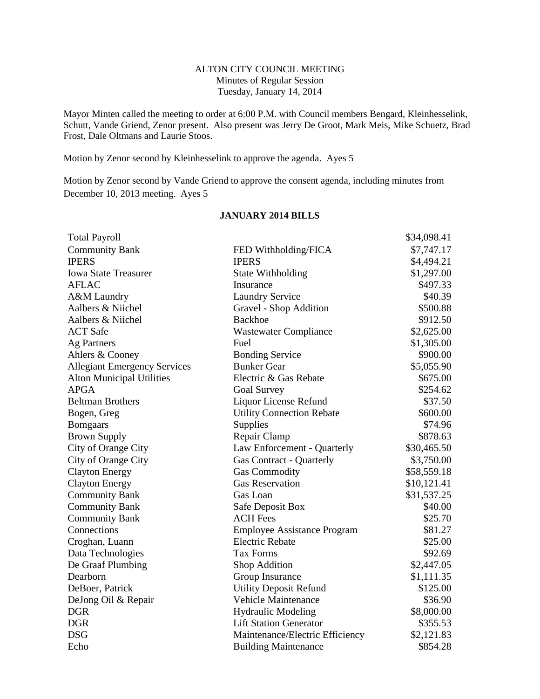# ALTON CITY COUNCIL MEETING Minutes of Regular Session Tuesday, January 14, 2014

Mayor Minten called the meeting to order at 6:00 P.M. with Council members Bengard, Kleinhesselink, Schutt, Vande Griend, Zenor present. Also present was Jerry De Groot, Mark Meis, Mike Schuetz, Brad Frost, Dale Oltmans and Laurie Stoos.

Motion by Zenor second by Kleinhesselink to approve the agenda. Ayes 5

Motion by Zenor second by Vande Griend to approve the consent agenda, including minutes from December 10, 2013 meeting. Ayes 5

| <b>Total Payroll</b>                |                                    | \$34,098.41 |
|-------------------------------------|------------------------------------|-------------|
| <b>Community Bank</b>               | FED Withholding/FICA               | \$7,747.17  |
| <b>IPERS</b>                        | <b>IPERS</b>                       | \$4,494.21  |
| <b>Iowa State Treasurer</b>         | State Withholding                  | \$1,297.00  |
| <b>AFLAC</b>                        | Insurance                          | \$497.33    |
| A&M Laundry                         | <b>Laundry Service</b>             | \$40.39     |
| Aalbers & Niichel                   | Gravel - Shop Addition             | \$500.88    |
| Aalbers & Niichel                   | <b>Backhoe</b>                     | \$912.50    |
| <b>ACT</b> Safe                     | <b>Wastewater Compliance</b>       | \$2,625.00  |
| <b>Ag Partners</b>                  | Fuel                               | \$1,305.00  |
| Ahlers & Cooney                     | <b>Bonding Service</b>             | \$900.00    |
| <b>Allegiant Emergency Services</b> | <b>Bunker Gear</b>                 | \$5,055.90  |
| <b>Alton Municipal Utilities</b>    | Electric & Gas Rebate              | \$675.00    |
| <b>APGA</b>                         | <b>Goal Survey</b>                 | \$254.62    |
| <b>Beltman Brothers</b>             | Liquor License Refund              | \$37.50     |
| Bogen, Greg                         | <b>Utility Connection Rebate</b>   | \$600.00    |
| <b>Bomgaars</b>                     | Supplies                           | \$74.96     |
| <b>Brown Supply</b>                 | Repair Clamp                       | \$878.63    |
| City of Orange City                 | Law Enforcement - Quarterly        | \$30,465.50 |
| City of Orange City                 | <b>Gas Contract - Quarterly</b>    | \$3,750.00  |
| <b>Clayton Energy</b>               | <b>Gas Commodity</b>               | \$58,559.18 |
| <b>Clayton Energy</b>               | <b>Gas Reservation</b>             | \$10,121.41 |
| <b>Community Bank</b>               | Gas Loan                           | \$31,537.25 |
| <b>Community Bank</b>               | Safe Deposit Box                   | \$40.00     |
| <b>Community Bank</b>               | <b>ACH Fees</b>                    | \$25.70     |
| Connections                         | <b>Employee Assistance Program</b> | \$81.27     |
| Croghan, Luann                      | <b>Electric Rebate</b>             | \$25.00     |
| Data Technologies                   | <b>Tax Forms</b>                   | \$92.69     |
| De Graaf Plumbing                   | Shop Addition                      | \$2,447.05  |
| Dearborn                            | Group Insurance                    | \$1,111.35  |
| DeBoer, Patrick                     | <b>Utility Deposit Refund</b>      | \$125.00    |
| DeJong Oil & Repair                 | <b>Vehicle Maintenance</b>         | \$36.90     |
| <b>DGR</b>                          | <b>Hydraulic Modeling</b>          | \$8,000.00  |
| <b>DGR</b>                          | <b>Lift Station Generator</b>      | \$355.53    |
| <b>DSG</b>                          | Maintenance/Electric Efficiency    | \$2,121.83  |
| Echo                                | <b>Building Maintenance</b>        | \$854.28    |

## **JANUARY 2014 BILLS**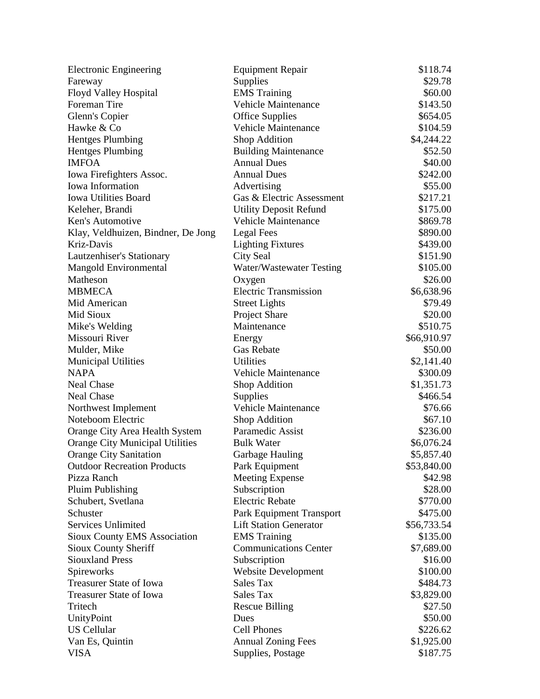| Electronic Engineering                 | <b>Equipment Repair</b>       | \$118.74    |
|----------------------------------------|-------------------------------|-------------|
| Fareway                                | Supplies                      | \$29.78     |
| Floyd Valley Hospital                  | <b>EMS</b> Training           | \$60.00     |
| Foreman Tire                           | <b>Vehicle Maintenance</b>    | \$143.50    |
| Glenn's Copier                         | <b>Office Supplies</b>        | \$654.05    |
| Hawke & Co                             | <b>Vehicle Maintenance</b>    | \$104.59    |
| <b>Hentges Plumbing</b>                | Shop Addition                 | \$4,244.22  |
| <b>Hentges Plumbing</b>                | <b>Building Maintenance</b>   | \$52.50     |
| <b>IMFOA</b>                           | <b>Annual Dues</b>            | \$40.00     |
| Iowa Firefighters Assoc.               | <b>Annual Dues</b>            | \$242.00    |
| Iowa Information                       | Advertising                   | \$55.00     |
| <b>Iowa Utilities Board</b>            | Gas & Electric Assessment     | \$217.21    |
| Keleher, Brandi                        | <b>Utility Deposit Refund</b> | \$175.00    |
| Ken's Automotive                       | <b>Vehicle Maintenance</b>    | \$869.78    |
| Klay, Veldhuizen, Bindner, De Jong     | Legal Fees                    | \$890.00    |
| Kriz-Davis                             | <b>Lighting Fixtures</b>      | \$439.00    |
| Lautzenhiser's Stationary              | City Seal                     | \$151.90    |
| <b>Mangold Environmental</b>           | Water/Wastewater Testing      | \$105.00    |
| Matheson                               | Oxygen                        | \$26.00     |
| <b>MBMECA</b>                          | <b>Electric Transmission</b>  | \$6,638.96  |
| Mid American                           | <b>Street Lights</b>          | \$79.49     |
| Mid Sioux                              | Project Share                 | \$20.00     |
| Mike's Welding                         | Maintenance                   | \$510.75    |
| Missouri River                         | Energy                        | \$66,910.97 |
| Mulder, Mike                           | <b>Gas Rebate</b>             | \$50.00     |
| <b>Municipal Utilities</b>             | <b>Utilities</b>              | \$2,141.40  |
| <b>NAPA</b>                            | <b>Vehicle Maintenance</b>    | \$300.09    |
| <b>Neal Chase</b>                      | Shop Addition                 | \$1,351.73  |
| <b>Neal Chase</b>                      | <b>Supplies</b>               | \$466.54    |
| Northwest Implement                    | <b>Vehicle Maintenance</b>    | \$76.66     |
| Noteboom Electric                      | Shop Addition                 | \$67.10     |
| Orange City Area Health System         | Paramedic Assist              | \$236.00    |
| <b>Orange City Municipal Utilities</b> | <b>Bulk Water</b>             | \$6,076.24  |
| <b>Orange City Sanitation</b>          | Garbage Hauling               | \$5,857.40  |
| <b>Outdoor Recreation Products</b>     | Park Equipment                | \$53,840.00 |
| Pizza Ranch                            | <b>Meeting Expense</b>        | \$42.98     |
| Pluim Publishing                       | Subscription                  | \$28.00     |
| Schubert, Svetlana                     | <b>Electric Rebate</b>        | \$770.00    |
| Schuster                               | Park Equipment Transport      | \$475.00    |
| Services Unlimited                     | <b>Lift Station Generator</b> | \$56,733.54 |
| Sioux County EMS Association           | <b>EMS</b> Training           | \$135.00    |
| Sioux County Sheriff                   | <b>Communications Center</b>  | \$7,689.00  |
| <b>Siouxland Press</b>                 | Subscription                  | \$16.00     |
| Spireworks                             | <b>Website Development</b>    | \$100.00    |
| <b>Treasurer State of Iowa</b>         | <b>Sales Tax</b>              | \$484.73    |
| Treasurer State of Iowa                | Sales Tax                     | \$3,829.00  |
| Tritech                                | <b>Rescue Billing</b>         | \$27.50     |
| UnityPoint                             | Dues                          | \$50.00     |
| <b>US Cellular</b>                     | <b>Cell Phones</b>            | \$226.62    |
| Van Es, Quintin                        | <b>Annual Zoning Fees</b>     | \$1,925.00  |
| <b>VISA</b>                            | Supplies, Postage             | \$187.75    |
|                                        |                               |             |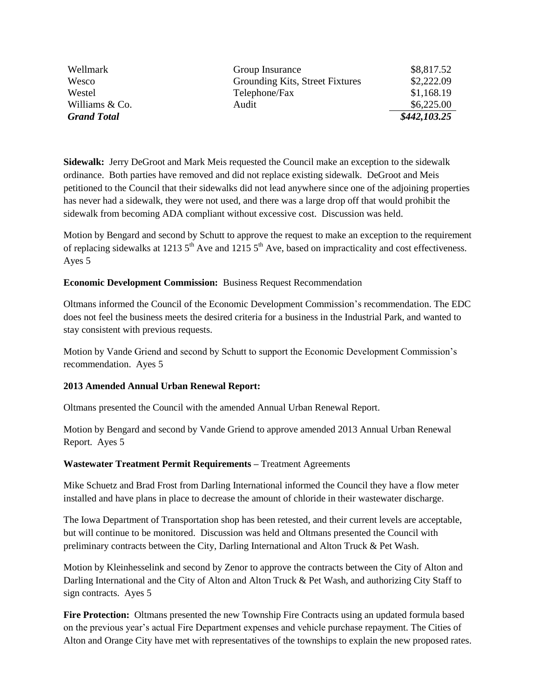| Wellmark           | Group Insurance                 | \$8,817.52   |
|--------------------|---------------------------------|--------------|
| Wesco              | Grounding Kits, Street Fixtures | \$2,222.09   |
| Westel             | Telephone/Fax                   | \$1,168.19   |
| Williams & Co.     | Audit                           | \$6,225.00   |
| <b>Grand Total</b> |                                 | \$442,103.25 |

**Sidewalk:** Jerry DeGroot and Mark Meis requested the Council make an exception to the sidewalk ordinance. Both parties have removed and did not replace existing sidewalk. DeGroot and Meis petitioned to the Council that their sidewalks did not lead anywhere since one of the adjoining properties has never had a sidewalk, they were not used, and there was a large drop off that would prohibit the sidewalk from becoming ADA compliant without excessive cost. Discussion was held.

Motion by Bengard and second by Schutt to approve the request to make an exception to the requirement of replacing sidewalks at 1213  $5<sup>th</sup>$  Ave and 1215  $5<sup>th</sup>$  Ave, based on impracticality and cost effectiveness. Ayes 5

## **Economic Development Commission:** Business Request Recommendation

Oltmans informed the Council of the Economic Development Commission's recommendation. The EDC does not feel the business meets the desired criteria for a business in the Industrial Park, and wanted to stay consistent with previous requests.

Motion by Vande Griend and second by Schutt to support the Economic Development Commission's recommendation. Ayes 5

## **2013 Amended Annual Urban Renewal Report:**

Oltmans presented the Council with the amended Annual Urban Renewal Report.

Motion by Bengard and second by Vande Griend to approve amended 2013 Annual Urban Renewal Report. Ayes 5

#### **Wastewater Treatment Permit Requirements –** Treatment Agreements

Mike Schuetz and Brad Frost from Darling International informed the Council they have a flow meter installed and have plans in place to decrease the amount of chloride in their wastewater discharge.

The Iowa Department of Transportation shop has been retested, and their current levels are acceptable, but will continue to be monitored. Discussion was held and Oltmans presented the Council with preliminary contracts between the City, Darling International and Alton Truck & Pet Wash.

Motion by Kleinhesselink and second by Zenor to approve the contracts between the City of Alton and Darling International and the City of Alton and Alton Truck & Pet Wash, and authorizing City Staff to sign contracts. Ayes 5

**Fire Protection:** Oltmans presented the new Township Fire Contracts using an updated formula based on the previous year's actual Fire Department expenses and vehicle purchase repayment. The Cities of Alton and Orange City have met with representatives of the townships to explain the new proposed rates.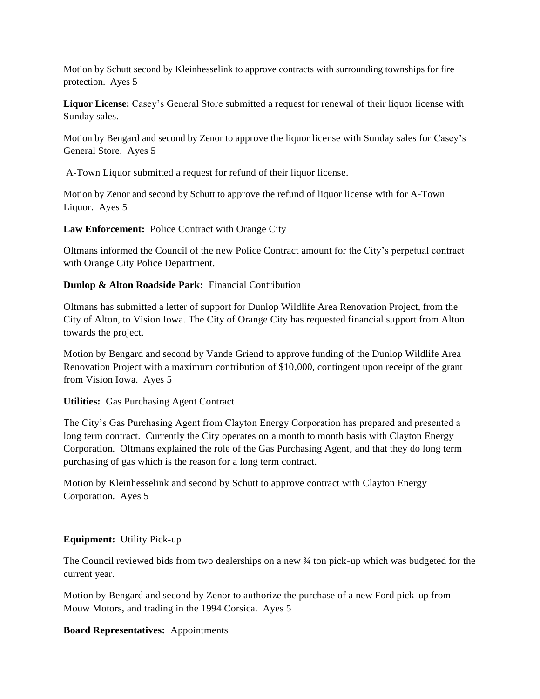Motion by Schutt second by Kleinhesselink to approve contracts with surrounding townships for fire protection. Ayes 5

**Liquor License:** Casey's General Store submitted a request for renewal of their liquor license with Sunday sales.

Motion by Bengard and second by Zenor to approve the liquor license with Sunday sales for Casey's General Store. Ayes 5

A-Town Liquor submitted a request for refund of their liquor license.

Motion by Zenor and second by Schutt to approve the refund of liquor license with for A-Town Liquor. Ayes 5

**Law Enforcement:** Police Contract with Orange City

Oltmans informed the Council of the new Police Contract amount for the City's perpetual contract with Orange City Police Department.

# **Dunlop & Alton Roadside Park:** Financial Contribution

Oltmans has submitted a letter of support for Dunlop Wildlife Area Renovation Project, from the City of Alton, to Vision Iowa. The City of Orange City has requested financial support from Alton towards the project.

Motion by Bengard and second by Vande Griend to approve funding of the Dunlop Wildlife Area Renovation Project with a maximum contribution of \$10,000, contingent upon receipt of the grant from Vision Iowa. Ayes 5

## **Utilities:** Gas Purchasing Agent Contract

The City's Gas Purchasing Agent from Clayton Energy Corporation has prepared and presented a long term contract. Currently the City operates on a month to month basis with Clayton Energy Corporation. Oltmans explained the role of the Gas Purchasing Agent, and that they do long term purchasing of gas which is the reason for a long term contract.

Motion by Kleinhesselink and second by Schutt to approve contract with Clayton Energy Corporation. Ayes 5

## **Equipment:** Utility Pick-up

The Council reviewed bids from two dealerships on a new ¾ ton pick-up which was budgeted for the current year.

Motion by Bengard and second by Zenor to authorize the purchase of a new Ford pick-up from Mouw Motors, and trading in the 1994 Corsica. Ayes 5

## **Board Representatives:** Appointments